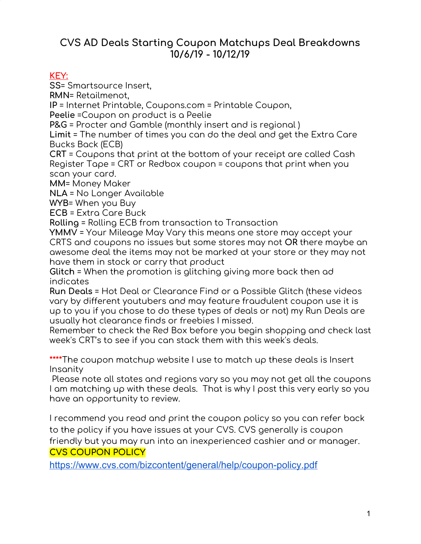# **CVS AD Deals Starting Coupon Matchups Deal Breakdowns 10/6/19 - 10/12/19**

### **KEY:**

**SS**= Smartsource Insert,

**RMN**= Retailmenot,

**IP** = Internet Printable, Coupons.com = Printable Coupon,

**Peelie** =Coupon on product is a Peelie

**P&G** = Procter and Gamble (monthly insert and is regional )

**Limit** = The number of times you can do the deal and get the Extra Care Bucks Back (ECB)

**CRT** = Coupons that print at the bottom of your receipt are called Cash Register Tape = CRT or Redbox coupon = coupons that print when you scan your card.

**MM**= Money Maker

**NLA** = No Longer Available

**WYB**= When you Buy

**ECB** = Extra Care Buck

**Rolling** = Rolling ECB from transaction to Transaction

**YMMV** = Your Mileage May Vary this means one store may accept your CRTS and coupons no issues but some stores may not **OR** there maybe an awesome deal the items may not be marked at your store or they may not have them in stock or carry that product

**Glitch** = When the promotion is glitching giving more back then ad indicates

**Run Deals** = Hot Deal or Clearance Find or a Possible Glitch (these videos vary by different youtubers and may feature fraudulent coupon use it is up to you if you chose to do these types of deals or not) my Run Deals are usually hot clearance finds or freebies I missed.

Remember to check the Red Box before you begin shopping and check last week's CRT's to see if you can stack them with this week's deals.

**\*\*\*\***The coupon matchup website I use to match up these deals is Insert Insanity

Please note all states and regions vary so you may not get all the coupons I am matching up with these deals. That is why I post this very early so you have an opportunity to review.

I recommend you read and print the coupon policy so you can refer back to the policy if you have issues at your CVS. CVS generally is coupon friendly but you may run into an inexperienced cashier and or manager. **CVS COUPON POLICY**

<https://www.cvs.com/bizcontent/general/help/coupon-policy.pdf>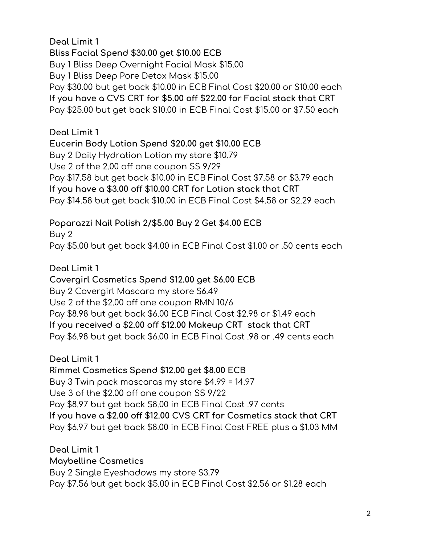**Deal Limit 1 Bliss Facial Spend \$30.00 get \$10.00 ECB** Buy 1 Bliss Deep Overnight Facial Mask \$15.00 Buy 1 Bliss Deep Pore Detox Mask \$15.00 Pay \$30.00 but get back \$10.00 in ECB Final Cost \$20.00 or \$10.00 each **If you have a CVS CRT for \$5.00 off \$22.00 for Facial stack that CRT** Pay \$25.00 but get back \$10.00 in ECB Final Cost \$15.00 or \$7.50 each

**Deal Limit 1**

**Eucerin Body Lotion Spend \$20.00 get \$10.00 ECB** Buy 2 Daily Hydration Lotion my store \$10.79 Use 2 of the 2.00 off one coupon SS 9/29 Pay \$17.58 but get back \$10.00 in ECB Final Cost \$7.58 or \$3.79 each **If you have a \$3.00 off \$10.00 CRT for Lotion stack that CRT** Pay \$14.58 but get back \$10.00 in ECB Final Cost \$4.58 or \$2.29 each

**Poparazzi Nail Polish 2/\$5.00 Buy 2 Get \$4.00 ECB** Buy 2 Pay \$5.00 but get back \$4.00 in ECB Final Cost \$1.00 or .50 cents each

**Deal Limit 1**

**Covergirl Cosmetics Spend \$12.00 get \$6.00 ECB** Buy 2 Covergirl Mascara my store \$6.49 Use 2 of the \$2.00 off one coupon RMN 10/6 Pay \$8.98 but get back \$6.00 ECB Final Cost \$2.98 or \$1.49 each **If you received a \$2.00 off \$12.00 Makeup CRT stack that CRT** Pay \$6.98 but get back \$6.00 in ECB Final Cost .98 or .49 cents each

**Deal Limit 1**

**Rimmel Cosmetics Spend \$12.00 get \$8.00 ECB** Buy 3 Twin pack mascaras my store \$4.99 = 14.97 Use 3 of the \$2.00 off one coupon SS 9/22 Pay \$8.97 but get back \$8.00 in ECB Final Cost .97 cents **If you have a \$2.00 off \$12.00 CVS CRT for Cosmetics stack that CRT** Pay \$6.97 but get back \$8.00 in ECB Final Cost FREE plus a \$1.03 MM

**Deal Limit 1 Maybelline Cosmetics** Buy 2 Single Eyeshadows my store \$3.79 Pay \$7.56 but get back \$5.00 in ECB Final Cost \$2.56 or \$1.28 each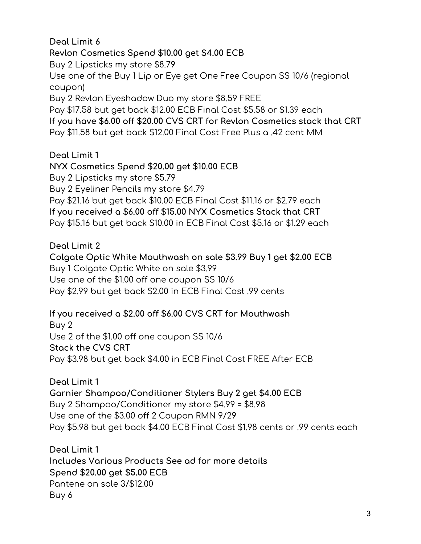**Deal Limit 6 Revlon Cosmetics Spend \$10.00 get \$4.00 ECB** Buy 2 Lipsticks my store \$8.79 Use one of the Buy 1 Lip or Eye get One Free Coupon SS 10/6 (regional coupon) Buy 2 Revlon Eyeshadow Duo my store \$8.59 FREE Pay \$17.58 but get back \$12.00 ECB Final Cost \$5.58 or \$1.39 each **If you have \$6.00 off \$20.00 CVS CRT for Revlon Cosmetics stack that CRT** Pay \$11.58 but get back \$12.00 Final Cost Free Plus a .42 cent MM

**Deal Limit 1**

**NYX Cosmetics Spend \$20.00 get \$10.00 ECB** Buy 2 Lipsticks my store \$5.79

Buy 2 Eyeliner Pencils my store \$4.79

Pay \$21.16 but get back \$10.00 ECB Final Cost \$11.16 or \$2.79 each **If you received a \$6.00 off \$15.00 NYX Cosmetics Stack that CRT** Pay \$15.16 but get back \$10.00 in ECB Final Cost \$5.16 or \$1.29 each

**Deal Limit 2**

**Colgate Optic White Mouthwash on sale \$3.99 Buy 1 get \$2.00 ECB** Buy 1 Colgate Optic White on sale \$3.99 Use one of the \$1.00 off one coupon SS 10/6 Pay \$2.99 but get back \$2.00 in ECB Final Cost .99 cents

**If you received a \$2.00 off \$6.00 CVS CRT for Mouthwash**

Buy 2 Use 2 of the \$1.00 off one coupon SS 10/6 **Stack the CVS CRT** Pay \$3.98 but get back \$4.00 in ECB Final Cost FREE After ECB

**Deal Limit 1 Garnier Shampoo/Conditioner Stylers Buy 2 get \$4.00 ECB** Buy 2 Shampoo/Conditioner my store \$4.99 = \$8.98 Use one of the \$3.00 off 2 Coupon RMN 9/29 Pay \$5.98 but get back \$4.00 ECB Final Cost \$1.98 cents or .99 cents each

**Deal Limit 1 Includes Various Products See ad for more details Spend \$20.00 get \$5.00 ECB** Pantene on sale 3/\$12.00 Buy 6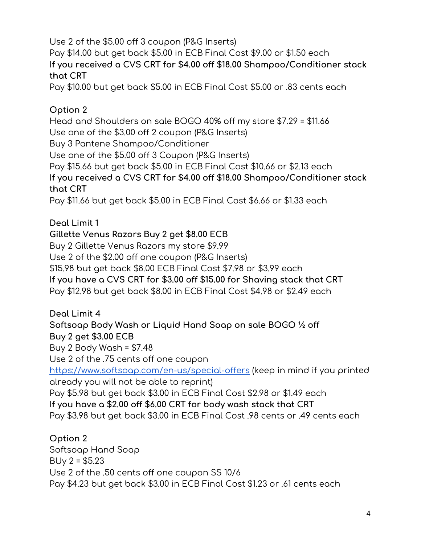Use 2 of the \$5.00 off 3 coupon (P&G Inserts) Pay \$14.00 but get back \$5.00 in ECB Final Cost \$9.00 or \$1.50 each **If you received a CVS CRT for \$4.00 off \$18.00 Shampoo/Conditioner stack that CRT**

Pay \$10.00 but get back \$5.00 in ECB Final Cost \$5.00 or .83 cents each

## **Option 2**

Head and Shoulders on sale BOGO 40% off my store \$7.29 = \$11.66 Use one of the \$3.00 off 2 coupon (P&G Inserts) Buy 3 Pantene Shampoo/Conditioner Use one of the \$5.00 off 3 Coupon (P&G Inserts) Pay \$15.66 but get back \$5.00 in ECB Final Cost \$10.66 or \$2.13 each **If you received a CVS CRT for \$4.00 off \$18.00 Shampoo/Conditioner stack that CRT** Pay \$11.66 but get back \$5.00 in ECB Final Cost \$6.66 or \$1.33 each

**Deal Limit 1 Gillette Venus Razors Buy 2 get \$8.00 ECB** Buy 2 Gillette Venus Razors my store \$9.99 Use 2 of the \$2.00 off one coupon (P&G Inserts) \$15.98 but get back \$8.00 ECB Final Cost \$7.98 or \$3.99 each **If you have a CVS CRT for \$3.00 off \$15.00 for Shaving stack that CRT** Pay \$12.98 but get back \$8.00 in ECB Final Cost \$4.98 or \$2.49 each

**Deal Limit 4 Softsoap Body Wash or Liquid Hand Soap on sale BOGO ½ off Buy 2 get \$3.00 ECB**

Buy 2 Body Wash = \$7.48

Use 2 of the .75 cents off one coupon

<https://www.softsoap.com/en-us/special-offers> (keep in mind if you printed already you will not be able to reprint)

Pay \$5.98 but get back \$3.00 in ECB Final Cost \$2.98 or \$1.49 each **If you have a \$2.00 off \$6.00 CRT for body wash stack that CRT** Pay \$3.98 but get back \$3.00 in ECB Final Cost .98 cents or .49 cents each

### **Option 2**

Softsoap Hand Soap  $BUy 2 = $5.23$ Use 2 of the .50 cents off one coupon SS 10/6 Pay \$4.23 but get back \$3.00 in ECB Final Cost \$1.23 or .61 cents each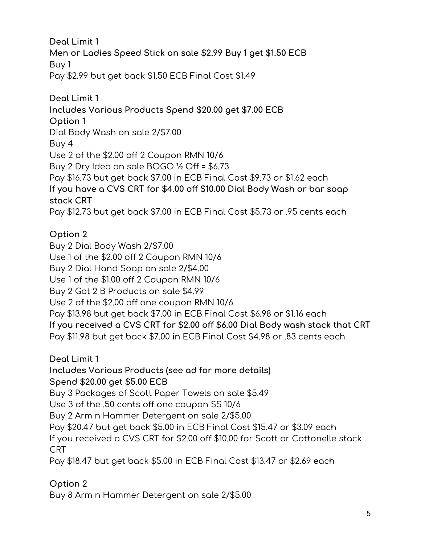**Deal Limit 1 Men or Ladies Speed Stick on sale \$2.99 Buy 1 get \$1.50 ECB** Buy 1 Pay \$2.99 but get back \$1.50 ECB Final Cost \$1.49

**Deal Limit 1 Includes Various Products Spend \$20.00 get \$7.00 ECB Option 1** Dial Body Wash on sale 2/\$7.00 Buy 4 Use 2 of the \$2.00 off 2 Coupon RMN 10/6 Buy 2 Dry Idea on sale BOGO ½ Off = \$6.73 Pay \$16.73 but get back \$7.00 in ECB Final Cost \$9.73 or \$1.62 each **If you have a CVS CRT for \$4.00 off \$10.00 Dial Body Wash or bar soap stack CRT** Pay \$12.73 but get back \$7.00 in ECB Final Cost \$5.73 or .95 cents each

## **Option 2**

Buy 2 Dial Body Wash 2/\$7.00 Use 1 of the \$2.00 off 2 Coupon RMN 10/6 Buy 2 Dial Hand Soap on sale 2/\$4.00 Use 1 of the \$1.00 off 2 Coupon RMN 10/6 Buy 2 Got 2 B Products on sale \$4.99 Use 2 of the \$2.00 off one coupon RMN 10/6 Pay \$13.98 but get back \$7.00 in ECB Final Cost \$6.98 or \$1.16 each **If you received a CVS CRT for \$2.00 off \$6.00 Dial Body wash stack that CRT** Pay \$11.98 but get back \$7.00 in ECB Final Cost \$4.98 or .83 cents each

**Deal Limit 1 Includes Various Products (see ad for more details) Spend \$20.00 get \$5.00 ECB** Buy 3 Packages of Scott Paper Towels on sale \$5.49 Use 3 of the .50 cents off one coupon SS 10/6 Buy 2 Arm n Hammer Detergent on sale 2/\$5.00 Pay \$20.47 but get back \$5.00 in ECB Final Cost \$15.47 or \$3.09 each If you received a CVS CRT for \$2.00 off \$10.00 for Scott or Cottonelle stack CRT Pay \$18.47 but get back \$5.00 in ECB Final Cost \$13.47 or \$2.69 each

## **Option 2**

Buy 8 Arm n Hammer Detergent on sale 2/\$5.00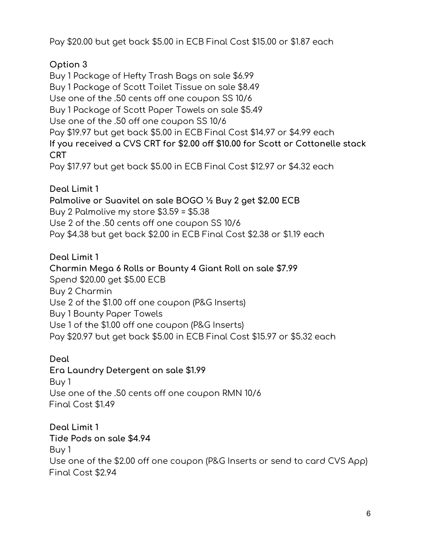Pay \$20.00 but get back \$5.00 in ECB Final Cost \$15.00 or \$1.87 each

**Option 3** Buy 1 Package of Hefty Trash Bags on sale \$6.99 Buy 1 Package of Scott Toilet Tissue on sale \$8.49 Use one of the .50 cents off one coupon SS 10/6 Buy 1 Package of Scott Paper Towels on sale \$5.49 Use one of the .50 off one coupon SS 10/6 Pay \$19.97 but get back \$5.00 in ECB Final Cost \$14.97 or \$4.99 each **If you received a CVS CRT for \$2.00 off \$10.00 for Scott or Cottonelle stack CRT** Pay \$17.97 but get back \$5.00 in ECB Final Cost \$12.97 or \$4.32 each

**Deal Limit 1**

**Palmolive or Suavitel on sale BOGO ½ Buy 2 get \$2.00 ECB** Buy 2 Palmolive my store \$3.59 = \$5.38 Use 2 of the .50 cents off one coupon SS 10/6 Pay \$4.38 but get back \$2.00 in ECB Final Cost \$2.38 or \$1.19 each

**Deal Limit 1**

**Charmin Mega 6 Rolls or Bounty 4 Giant Roll on sale \$7.99** Spend \$20.00 get \$5.00 ECB Buy 2 Charmin Use 2 of the \$1.00 off one coupon (P&G Inserts) Buy 1 Bounty Paper Towels Use 1 of the \$1.00 off one coupon (P&G Inserts) Pay \$20.97 but get back \$5.00 in ECB Final Cost \$15.97 or \$5.32 each

**Deal Era Laundry Detergent on sale \$1.99** Buy 1 Use one of the .50 cents off one coupon RMN 10/6 Final Cost \$1.49

**Deal Limit 1 Tide Pods on sale \$4.94** Buy 1 Use one of the \$2.00 off one coupon (P&G Inserts or send to card CVS App) Final Cost \$2.94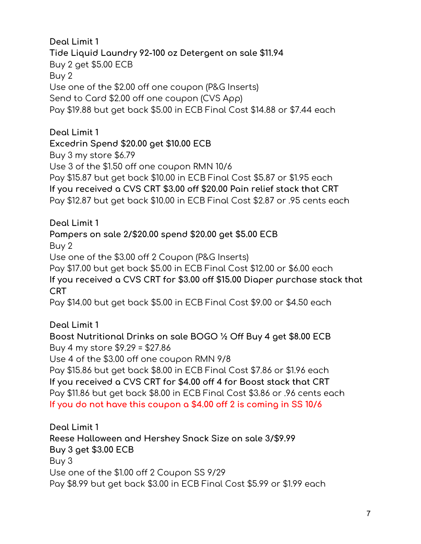**Deal Limit 1 Tide Liquid Laundry 92-100 oz Detergent on sale \$11.94** Buy 2 get \$5.00 ECB Buy 2 Use one of the \$2.00 off one coupon (P&G Inserts) Send to Card \$2.00 off one coupon (CVS App) Pay \$19.88 but get back \$5.00 in ECB Final Cost \$14.88 or \$7.44 each

**Deal Limit 1 Excedrin Spend \$20.00 get \$10.00 ECB** Buy 3 my store \$6.79 Use 3 of the \$1.50 off one coupon RMN 10/6 Pay \$15.87 but get back \$10.00 in ECB Final Cost \$5.87 or \$1.95 each **If you received a CVS CRT \$3.00 off \$20.00 Pain relief stack that CRT** Pay \$12.87 but get back \$10.00 in ECB Final Cost \$2.87 or .95 cents each

**Deal Limit 1 Pampers on sale 2/\$20.00 spend \$20.00 get \$5.00 ECB** Buy 2 Use one of the \$3.00 off 2 Coupon (P&G Inserts) Pay \$17.00 but get back \$5.00 in ECB Final Cost \$12.00 or \$6.00 each **If you received a CVS CRT for \$3.00 off \$15.00 Diaper purchase stack that CRT** Pay \$14.00 but get back \$5.00 in ECB Final Cost \$9.00 or \$4.50 each

**Deal Limit 1**

**Boost Nutritional Drinks on sale BOGO ½ Off Buy 4 get \$8.00 ECB** Buy 4 my store \$9.29 = \$27.86 Use 4 of the \$3.00 off one coupon RMN 9/8 Pay \$15.86 but get back \$8.00 in ECB Final Cost \$7.86 or \$1.96 each **If you received a CVS CRT for \$4.00 off 4 for Boost stack that CRT** Pay \$11.86 but get back \$8.00 in ECB Final Cost \$3.86 or .96 cents each

**If you do not have this coupon a \$4.00 off 2 is coming in SS 10/6**

**Deal Limit 1 Reese Halloween and Hershey Snack Size on sale 3/\$9.99 Buy 3 get \$3.00 ECB** Buy 3 Use one of the \$1.00 off 2 Coupon SS 9/29 Pay \$8.99 but get back \$3.00 in ECB Final Cost \$5.99 or \$1.99 each